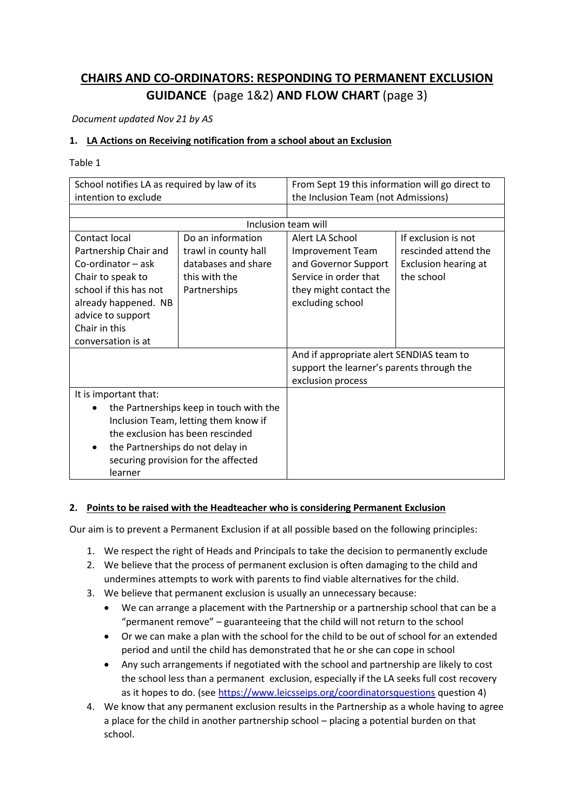# **CHAIRS AND CO-ORDINATORS: RESPONDING TO PERMANENT EXCLUSION GUIDANCE** (page 1&2) **AND FLOW CHART** (page 3)

*Document updated Nov 21 by AS*

### **1. LA Actions on Receiving notification from a school about an Exclusion**

Table 1

| School notifies LA as required by law of its |                      | From Sept 19 this information will go direct to |                      |
|----------------------------------------------|----------------------|-------------------------------------------------|----------------------|
| intention to exclude                         |                      | the Inclusion Team (not Admissions)             |                      |
|                                              |                      |                                                 |                      |
| Inclusion team will                          |                      |                                                 |                      |
| Contact local                                | Do an information    | Alert LA School                                 | If exclusion is not  |
| Partnership Chair and                        | trawl in county hall | <b>Improvement Team</b>                         | rescinded attend the |
| Co-ordinator - ask                           | databases and share  | and Governor Support                            | Exclusion hearing at |
| Chair to speak to                            | this with the        | Service in order that                           | the school           |
| school if this has not                       | Partnerships         | they might contact the                          |                      |
| already happened. NB                         |                      | excluding school                                |                      |
| advice to support                            |                      |                                                 |                      |
| Chair in this                                |                      |                                                 |                      |
| conversation is at                           |                      |                                                 |                      |
|                                              |                      | And if appropriate alert SENDIAS team to        |                      |
|                                              |                      | support the learner's parents through the       |                      |
|                                              |                      | exclusion process                               |                      |
| It is important that:                        |                      |                                                 |                      |
| the Partnerships keep in touch with the      |                      |                                                 |                      |
| Inclusion Team, letting them know if         |                      |                                                 |                      |
| the exclusion has been rescinded             |                      |                                                 |                      |
| the Partnerships do not delay in<br>٠        |                      |                                                 |                      |
| securing provision for the affected          |                      |                                                 |                      |
| learner                                      |                      |                                                 |                      |

#### **2. Points to be raised with the Headteacher who is considering Permanent Exclusion**

Our aim is to prevent a Permanent Exclusion if at all possible based on the following principles:

- 1. We respect the right of Heads and Principals to take the decision to permanently exclude
- 2. We believe that the process of permanent exclusion is often damaging to the child and undermines attempts to work with parents to find viable alternatives for the child.
- 3. We believe that permanent exclusion is usually an unnecessary because:
	- We can arrange a placement with the Partnership or a partnership school that can be a "permanent remove" – guaranteeing that the child will not return to the school
	- Or we can make a plan with the school for the child to be out of school for an extended period and until the child has demonstrated that he or she can cope in school
	- Any such arrangements if negotiated with the school and partnership are likely to cost the school less than a permanent exclusion, especially if the LA seeks full cost recovery as it hopes to do. (see<https://www.leicsseips.org/coordinatorsquestions> question 4)
- 4. We know that any permanent exclusion results in the Partnership as a whole having to agree a place for the child in another partnership school – placing a potential burden on that school.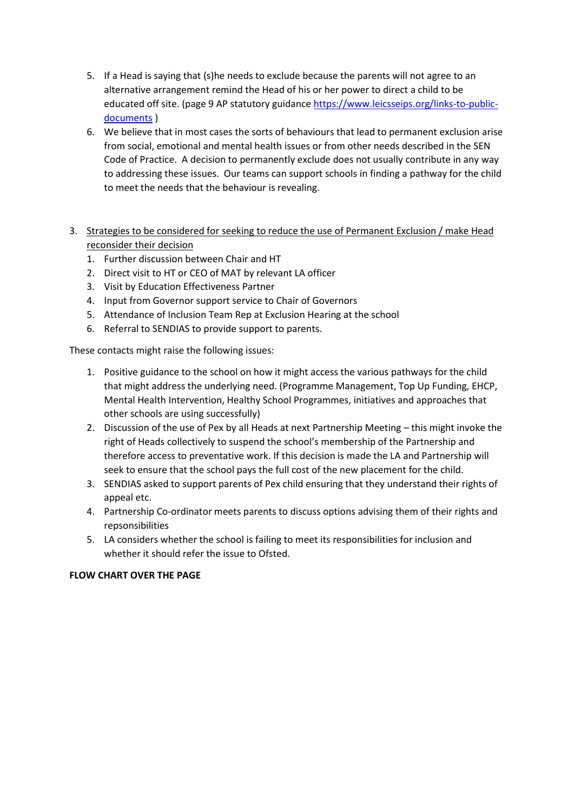- 5. If a Head is saying that (s)he needs to exclude because the parents will not agree to an alternative arrangement remind the Head of his or her power to direct a child to be educated off site. (page 9 AP statutory guidance [https://www.leicsseips.org/links-to-public](https://www.leicsseips.org/links-to-public-documents)[documents](https://www.leicsseips.org/links-to-public-documents) )
- 6. We believe that in most cases the sorts of behaviours that lead to permanent exclusion arise from social, emotional and mental health issues or from other needs described in the SEN Code of Practice. A decision to permanently exclude does not usually contribute in any way to addressing these issues. Our teams can support schools in finding a pathway for the child to meet the needs that the behaviour is revealing.
- 3. Strategies to be considered for seeking to reduce the use of Permanent Exclusion / make Head reconsider their decision
	- 1. Further discussion between Chair and HT
	- 2. Direct visit to HT or CEO of MAT by relevant LA officer
	- 3. Visit by Education Effectiveness Partner
	- 4. Input from Governor support service to Chair of Governors
	- 5. Attendance of Inclusion Team Rep at Exclusion Hearing at the school
	- 6. Referral to SENDIAS to provide support to parents.

These contacts might raise the following issues:

- 1. Positive guidance to the school on how it might access the various pathways for the child that might address the underlying need. (Programme Management, Top Up Funding, EHCP, Mental Health Intervention, Healthy School Programmes, initiatives and approaches that other schools are using successfully)
- 2. Discussion of the use of Pex by all Heads at next Partnership Meeting this might invoke the right of Heads collectively to suspend the school's membership of the Partnership and therefore access to preventative work. If this decision is made the LA and Partnership will seek to ensure that the school pays the full cost of the new placement for the child.
- 3. SENDIAS asked to support parents of Pex child ensuring that they understand their rights of appeal etc.
- 4. Partnership Co-ordinator meets parents to discuss options advising them of their rights and repsonsibilities
- 5. LA considers whether the school is failing to meet its responsibilities for inclusion and whether it should refer the issue to Ofsted.

#### **FLOW CHART OVER THE PAGE**